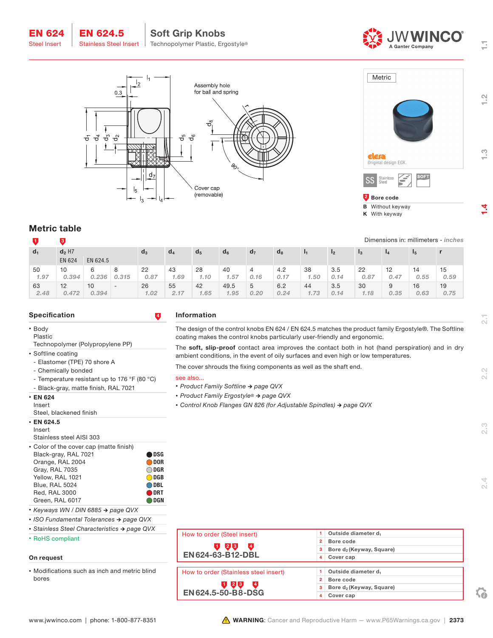





**B** Without keyway K With keyway

# Metric table

EN 624 Steel Insert

|       |                      |          |                          |       |                |                |                |                |       |      |      |         |      |      | Dimensions in: millimeters - inches |
|-------|----------------------|----------|--------------------------|-------|----------------|----------------|----------------|----------------|-------|------|------|---------|------|------|-------------------------------------|
| $d_1$ | $d_2$ H <sub>7</sub> |          |                          | $d_3$ | a <sub>4</sub> | d <sub>5</sub> | a <sub>6</sub> | d <sub>7</sub> | $d_8$ |      | 12   | $_{13}$ |      | 15   |                                     |
|       | <b>EN 624</b>        | EN 624.5 |                          |       |                |                |                |                |       |      |      |         |      |      |                                     |
| 50    | 10                   | 6        |                          | 22    | 43             | 28             | 40             |                | 4.2   | 38   | 3.5  | 22      | 12   | 14   | 15                                  |
| 1.97  | 0.394                | 0.236    | 0.315                    | 0.87  | 1.69           | 1.10           | 1.57           | 0.16           | 0.17  | 1.50 | 0.14 | 0.87    | 0.47 | 0.55 | 0.59                                |
| 63    | 12                   | 10       | $\overline{\phantom{0}}$ | 26    | 55             | 42             | 49.5           | 5              | 6.2   | 44   | 3.5  | 30      | 9    | 16   | 19                                  |
| 2.48  | 0.472                | 0.394    |                          | 1.02  | 2.17           | 1.65           | 1.95           | 0,20           | 0.24  | 1.73 | 0.14 | 1.18    | 0.35 | 0.63 | 0.75                                |

### Specification **4**

• Body

Plastic Technopolymer (Polypropylene PP)

- Softline coating
- Elastomer (TPE) 70 shore A
- Chemically bonded
- Temperature resistant up to 176 °F (80 °C)

EN 624.5

- Black-gray, matte finish, RAL 7021
- EN 624 Insert
- Steel, blackened finish
- $\cdot$  EN 624.5

Insert

Stainless steel AISI 303

• Color of the cover cap (matte finish)

| Black-gray, RAL 7021  | <b>ODSG</b>       |
|-----------------------|-------------------|
| Orange, RAL 2004      | ODOR <sub>1</sub> |
| Gray, RAL 7035        | $\bigcirc$ dgr    |
| Yellow, RAL 1021      | ODGB              |
| <b>Blue, RAL 5024</b> | ODBL              |
| <b>Red. RAL 3000</b>  | <b>ODRT</b>       |
| Green, RAL 6017       | <b>DGN</b>        |
|                       |                   |

- *• Keyways WN / DIN 6885 → page QVX*
- *• ISO Fundamental Tolerances → page QVX*
- *• Stainless Steel Characteristics → page QVX*

## • RoHS compliant

## On request

• Modifications such as inch and metric blind bores

### Information

The design of the control knobs EN 624 / EN 624.5 matches the product family Ergostyle®. The Softline coating makes the control knobs particularly user-friendly and ergonomic.

The soft, slip-proof contact area improves the contact both in hot (hand perspiration) and in dry ambient conditions, in the event of oily surfaces and even high or low temperatures.

The cover shrouds the fixing components as well as the shaft end.

#### see also...

- *• Product Family Softline → page QVX*
- *• Product Family Ergostyle® → page QVX*
- *• Control Knob Flanges GN 826 (for Adjustable Spindles) → page QVX*

| How to order (Steel insert)                             |              | Outside diameter d <sub>1</sub>      |
|---------------------------------------------------------|--------------|--------------------------------------|
|                                                         | $\mathbf{z}$ | Bore code                            |
| $\left\lfloor 2 \right\rfloor$ 3<br>$\overline{a}$<br>U | з            | Bore d <sub>2</sub> (Keyway, Square) |
| EN 624-63-B12-DBL                                       | 4            | Cover cap                            |
|                                                         |              |                                      |
| How to order (Stainless steel insert)                   |              | Outside diameter d <sub>1</sub>      |
|                                                         | 2            | Bore code                            |
| U 23<br>$\left( 4 \right)$                              |              | Bore d <sub>2</sub> (Keyway, Square) |
| <b>EN624.5-50-B8-DSG</b>                                | 4            | Cover cap                            |

 $2.2$ 

 $2.3$ 

Ξ

 $\frac{N}{2}$ 

 $\frac{1}{2}$ 

 $\overline{4}$ 

 $\mathbf{G}$